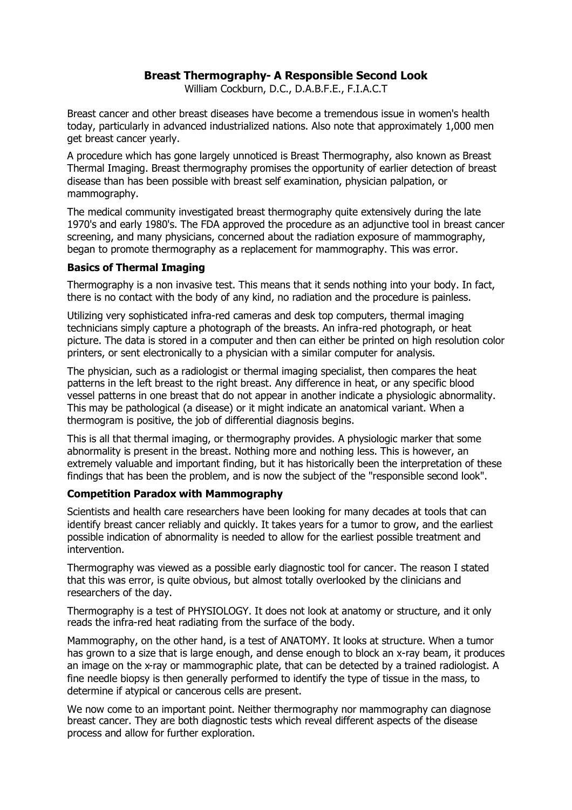# **Breast Thermography- A Responsible Second Look**

William Cockburn, D.C., D.A.B.F.E., F.I.A.C.T

Breast cancer and other breast diseases have become a tremendous issue in women's health today, particularly in advanced industrialized nations. Also note that approximately 1,000 men get breast cancer yearly.

A procedure which has gone largely unnoticed is Breast Thermography, also known as Breast Thermal Imaging. Breast thermography promises the opportunity of earlier detection of breast disease than has been possible with breast self examination, physician palpation, or mammography.

The medical community investigated breast thermography quite extensively during the late 1970's and early 1980's. The FDA approved the procedure as an adjunctive tool in breast cancer screening, and many physicians, concerned about the radiation exposure of mammography, began to promote thermography as a replacement for mammography. This was error.

## **Basics of Thermal Imaging**

Thermography is a non invasive test. This means that it sends nothing into your body. In fact, there is no contact with the body of any kind, no radiation and the procedure is painless.

Utilizing very sophisticated infra-red cameras and desk top computers, thermal imaging technicians simply capture a photograph of the breasts. An infra-red photograph, or heat picture. The data is stored in a computer and then can either be printed on high resolution color printers, or sent electronically to a physician with a similar computer for analysis.

The physician, such as a radiologist or thermal imaging specialist, then compares the heat patterns in the left breast to the right breast. Any difference in heat, or any specific blood vessel patterns in one breast that do not appear in another indicate a physiologic abnormality. This may be pathological (a disease) or it might indicate an anatomical variant. When a thermogram is positive, the job of differential diagnosis begins.

This is all that thermal imaging, or thermography provides. A physiologic marker that some abnormality is present in the breast. Nothing more and nothing less. This is however, an extremely valuable and important finding, but it has historically been the interpretation of these findings that has been the problem, and is now the subject of the "responsible second look".

## **Competition Paradox with Mammography**

Scientists and health care researchers have been looking for many decades at tools that can identify breast cancer reliably and quickly. It takes years for a tumor to grow, and the earliest possible indication of abnormality is needed to allow for the earliest possible treatment and intervention.

Thermography was viewed as a possible early diagnostic tool for cancer. The reason I stated that this was error, is quite obvious, but almost totally overlooked by the clinicians and researchers of the day.

Thermography is a test of PHYSIOLOGY. It does not look at anatomy or structure, and it only reads the infra-red heat radiating from the surface of the body.

Mammography, on the other hand, is a test of ANATOMY. It looks at structure. When a tumor has grown to a size that is large enough, and dense enough to block an x-ray beam, it produces an image on the x-ray or mammographic plate, that can be detected by a trained radiologist. A fine needle biopsy is then generally performed to identify the type of tissue in the mass, to determine if atypical or cancerous cells are present.

We now come to an important point. Neither thermography nor mammography can diagnose breast cancer. They are both diagnostic tests which reveal different aspects of the disease process and allow for further exploration.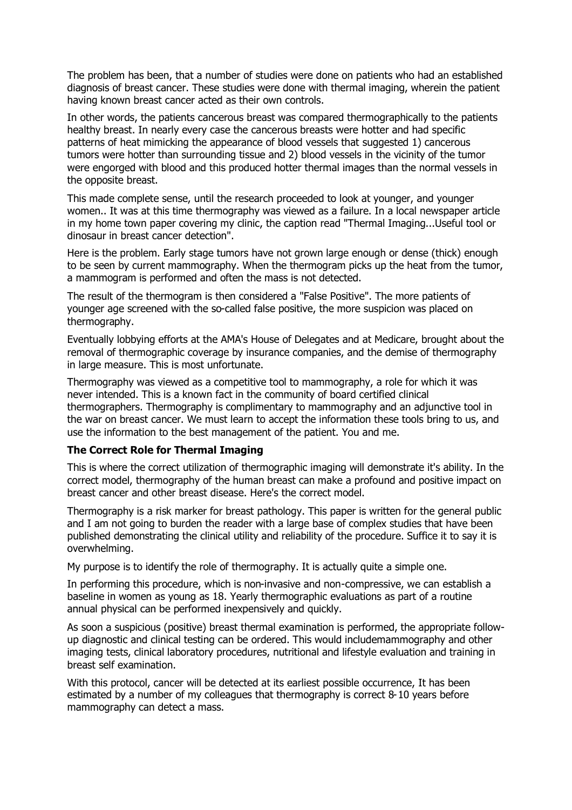The problem has been, that a number of studies were done on patients who had an established diagnosis of breast cancer. These studies were done with thermal imaging, wherein the patient having known breast cancer acted as their own controls.

In other words, the patients cancerous breast was compared thermographically to the patients healthy breast. In nearly every case the cancerous breasts were hotter and had specific patterns of heat mimicking the appearance of blood vessels that suggested 1) cancerous tumors were hotter than surrounding tissue and 2) blood vessels in the vicinity of the tumor were engorged with blood and this produced hotter thermal images than the normal vessels in the opposite breast.

This made complete sense, until the research proceeded to look at younger, and younger women.. It was at this time thermography was viewed as a failure. In a local newspaper article in my home town paper covering my clinic, the caption read "Thermal Imaging...Useful tool or dinosaur in breast cancer detection".

Here is the problem. Early stage tumors have not grown large enough or dense (thick) enough to be seen by current mammography. When the thermogram picks up the heat from the tumor, a mammogram is performed and often the mass is not detected.

The result of the thermogram is then considered a "False Positive". The more patients of younger age screened with the so-called false positive, the more suspicion was placed on thermography.

Eventually lobbying efforts at the AMA's House of Delegates and at Medicare, brought about the removal of thermographic coverage by insurance companies, and the demise of thermography in large measure. This is most unfortunate.

Thermography was viewed as a competitive tool to mammography, a role for which it was never intended. This is a known fact in the community of board certified clinical thermographers. Thermography is complimentary to mammography and an adjunctive tool in the war on breast cancer. We must learn to accept the information these tools bring to us, and use the information to the best management of the patient. You and me.

## **The Correct Role for Thermal Imaging**

This is where the correct utilization of thermographic imaging will demonstrate it's ability. In the correct model, thermography of the human breast can make a profound and positive impact on breast cancer and other breast disease. Here's the correct model.

Thermography is a risk marker for breast pathology. This paper is written for the general public and I am not going to burden the reader with a large base of complex studies that have been published demonstrating the clinical utility and reliability of the procedure. Suffice it to say it is overwhelming.

My purpose is to identify the role of thermography. It is actually quite a simple one.

In performing this procedure, which is non-invasive and non-compressive, we can establish a baseline in women as young as 18. Yearly thermographic evaluations as part of a routine annual physical can be performed inexpensively and quickly.

As soon a suspicious (positive) breast thermal examination is performed, the appropriate followup diagnostic and clinical testing can be ordered. This would includemammography and other imaging tests, clinical laboratory procedures, nutritional and lifestyle evaluation and training in breast self examination.

With this protocol, cancer will be detected at its earliest possible occurrence. It has been estimated by a number of my colleagues that thermography is correct 8-10 years before mammography can detect a mass.